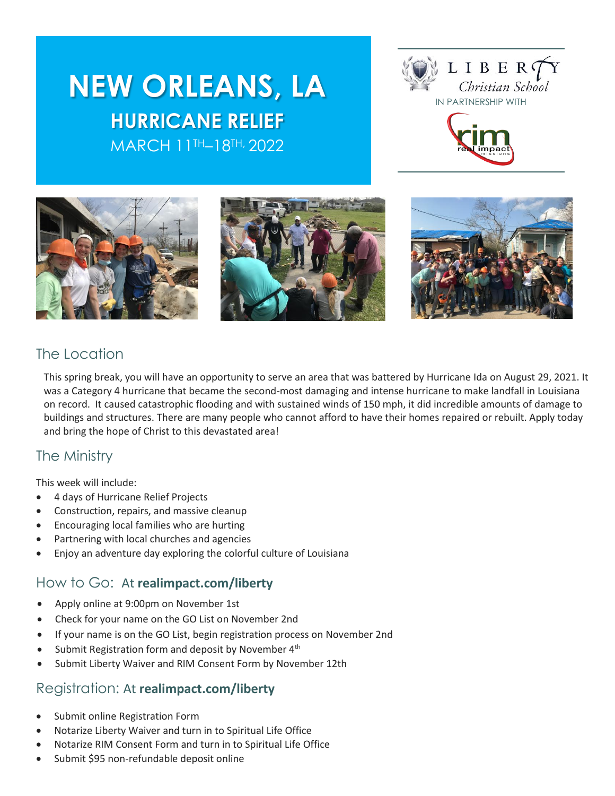# **NEW ORLEANS, LA HURRICANE RELIEF** MARCH 11TH–18TH, 2022







# The Location

This spring break, you will have an opportunity to serve an area that was battered by Hurricane Ida on August 29, 2021. It was a Category 4 hurricane that became the second-most damaging and intense hurricane to make landfall in Louisiana on record. It caused catastrophic flooding and with sustained winds of 150 mph, it did incredible amounts of damage to buildings and structures. There are many people who cannot afford to have their homes repaired or rebuilt. Apply today and bring the hope of Christ to this devastated area!

### The Ministry

This week will include:

- 4 days of Hurricane Relief Projects
- Construction, repairs, and massive cleanup
- Encouraging local families who are hurting
- Partnering with local churches and agencies
- Enjoy an adventure day exploring the colorful culture of Louisiana

#### How to Go: At **realimpact.com/liberty**

- Apply online at 9:00pm on November 1st
- Check for your name on the GO List on November 2nd
- If your name is on the GO List, begin registration process on November 2nd
- Submit Registration form and deposit by November 4<sup>th</sup>
- Submit Liberty Waiver and RIM Consent Form by November 12th

### Registration: At **realimpact.com/liberty**

- Submit online Registration Form
- Notarize Liberty Waiver and turn in to Spiritual Life Office
- Notarize RIM Consent Form and turn in to Spiritual Life Office
- Submit \$95 non-refundable deposit online